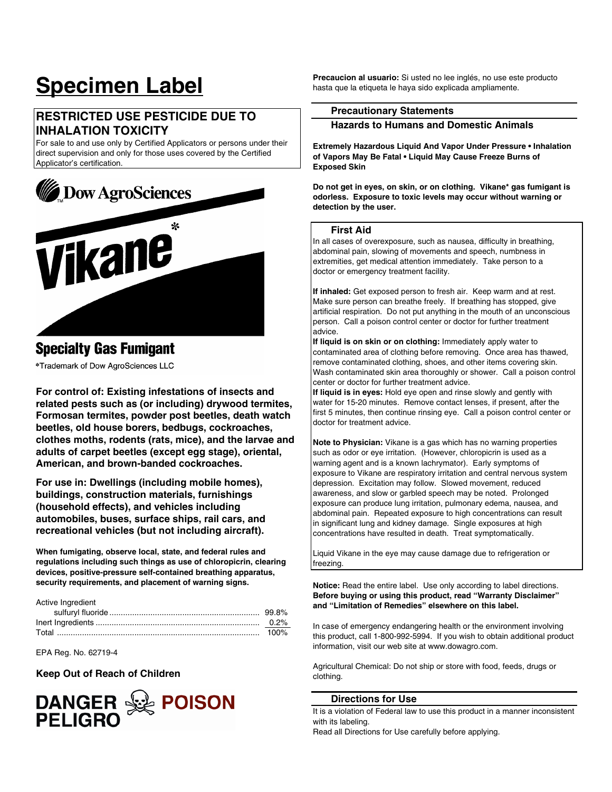# **Specimen Label**

### **RESTRICTED USE PESTICIDE DUE TO INHALATION TOXICITY**

For sale to and use only by Certified Applicators or persons under their direct supervision and only for those uses covered by the Certified Applicator's certification.



## **Specialty Gas Fumigant**

\*Trademark of Dow AgroSciences LLC

**For control of: Existing infestations of insects and related pests such as (or including) drywood termites, Formosan termites, powder post beetles, death watch beetles, old house borers, bedbugs, cockroaches, clothes moths, rodents (rats, mice), and the larvae and adults of carpet beetles (except egg stage), oriental, American, and brown-banded cockroaches.** 

**For use in: Dwellings (including mobile homes), buildings, construction materials, furnishings (household effects), and vehicles including automobiles, buses, surface ships, rail cars, and recreational vehicles (but not including aircraft).** 

**When fumigating, observe local, state, and federal rules and regulations including such things as use of chloropicrin, clearing devices, positive-pressure self-contained breathing apparatus, security requirements, and placement of warning signs.** 

Active Ingredient

EPA Reg. No. 62719-4

#### **Keep Out of Reach of Children**



**Precaucion al usuario:** Si usted no lee inglés, no use este producto hasta que la etiqueta le haya sido explicada ampliamente.

#### **Precautionary Statements**

#### **Hazards to Humans and Domestic Animals**

**Extremely Hazardous Liquid And Vapor Under Pressure • Inhalation of Vapors May Be Fatal • Liquid May Cause Freeze Burns of Exposed Skin** 

**Do not get in eyes, on skin, or on clothing. Vikane\* gas fumigant is odorless. Exposure to toxic levels may occur without warning or detection by the user.** 

#### **First Aid**

In all cases of overexposure, such as nausea, difficulty in breathing, abdominal pain, slowing of movements and speech, numbness in extremities, get medical attention immediately. Take person to a doctor or emergency treatment facility.

**If inhaled:** Get exposed person to fresh air. Keep warm and at rest. Make sure person can breathe freely. If breathing has stopped, give artificial respiration. Do not put anything in the mouth of an unconscious person. Call a poison control center or doctor for further treatment advice.

**If liquid is on skin or on clothing:** Immediately apply water to contaminated area of clothing before removing. Once area has thawed, remove contaminated clothing, shoes, and other items covering skin. Wash contaminated skin area thoroughly or shower. Call a poison control center or doctor for further treatment advice.

**If liquid is in eyes:** Hold eye open and rinse slowly and gently with water for 15-20 minutes. Remove contact lenses, if present, after the first 5 minutes, then continue rinsing eye. Call a poison control center or doctor for treatment advice.

**Note to Physician:** Vikane is a gas which has no warning properties such as odor or eye irritation. (However, chloropicrin is used as a warning agent and is a known lachrymator). Early symptoms of exposure to Vikane are respiratory irritation and central nervous system depression. Excitation may follow. Slowed movement, reduced awareness, and slow or garbled speech may be noted. Prolonged exposure can produce lung irritation, pulmonary edema, nausea, and abdominal pain. Repeated exposure to high concentrations can result in significant lung and kidney damage. Single exposures at high concentrations have resulted in death. Treat symptomatically.

Liquid Vikane in the eye may cause damage due to refrigeration or freezing.

**Notice:** Read the entire label. Use only according to label directions. **Before buying or using this product, read "Warranty Disclaimer" and "Limitation of Remedies" elsewhere on this label.** 

In case of emergency endangering health or the environment involving this product, call 1-800-992-5994. If you wish to obtain additional product information, visit our web site at www.dowagro.com.

Agricultural Chemical: Do not ship or store with food, feeds, drugs or clothing.

#### **Directions for Use**

It is a violation of Federal law to use this product in a manner inconsistent with its labeling.

Read all Directions for Use carefully before applying.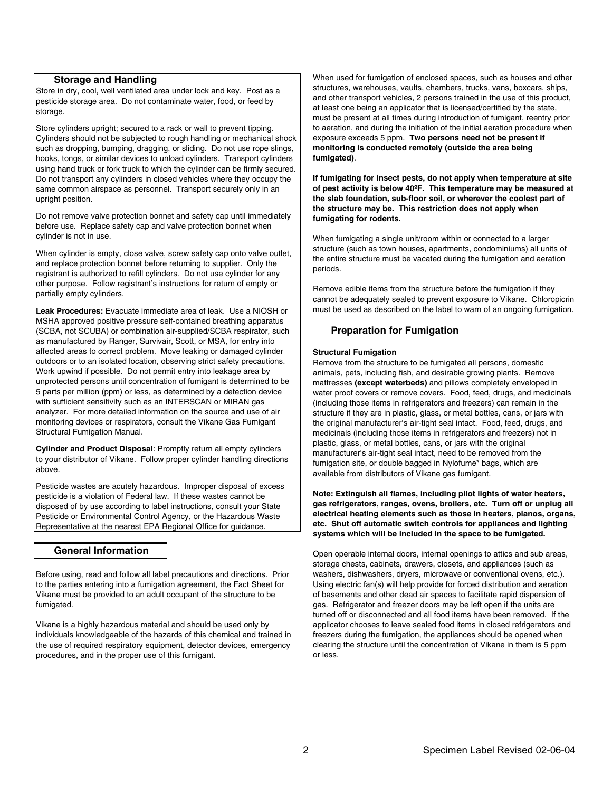#### **Storage and Handling**

Store in dry, cool, well ventilated area under lock and key. Post as a pesticide storage area. Do not contaminate water, food, or feed by storage.

Store cylinders upright; secured to a rack or wall to prevent tipping. Cylinders should not be subjected to rough handling or mechanical shock such as dropping, bumping, dragging, or sliding. Do not use rope slings, hooks, tongs, or similar devices to unload cylinders. Transport cylinders using hand truck or fork truck to which the cylinder can be firmly secured. Do not transport any cylinders in closed vehicles where they occupy the same common airspace as personnel. Transport securely only in an upright position.

Do not remove valve protection bonnet and safety cap until immediately before use. Replace safety cap and valve protection bonnet when cylinder is not in use.

When cylinder is empty, close valve, screw safety cap onto valve outlet, and replace protection bonnet before returning to supplier. Only the registrant is authorized to refill cylinders. Do not use cylinder for any other purpose. Follow registrant's instructions for return of empty or partially empty cylinders.

**Leak Procedures:** Evacuate immediate area of leak. Use a NIOSH or MSHA approved positive pressure self-contained breathing apparatus (SCBA, not SCUBA) or combination air-supplied/SCBA respirator, such as manufactured by Ranger, Survivair, Scott, or MSA, for entry into affected areas to correct problem. Move leaking or damaged cylinder outdoors or to an isolated location, observing strict safety precautions. Work upwind if possible. Do not permit entry into leakage area by unprotected persons until concentration of fumigant is determined to be 5 parts per million (ppm) or less, as determined by a detection device with sufficient sensitivity such as an INTERSCAN or MIRAN gas analyzer. For more detailed information on the source and use of air monitoring devices or respirators, consult the Vikane Gas Fumigant Structural Fumigation Manual.

**Cylinder and Product Disposal**: Promptly return all empty cylinders to your distributor of Vikane. Follow proper cylinder handling directions above.

Pesticide wastes are acutely hazardous. Improper disposal of excess pesticide is a violation of Federal law. If these wastes cannot be disposed of by use according to label instructions, consult your State Pesticide or Environmental Control Agency, or the Hazardous Waste Representative at the nearest EPA Regional Office for guidance.

#### **General Information**

Before using, read and follow all label precautions and directions. Prior to the parties entering into a fumigation agreement, the Fact Sheet for Vikane must be provided to an adult occupant of the structure to be fumigated.

Vikane is a highly hazardous material and should be used only by individuals knowledgeable of the hazards of this chemical and trained in the use of required respiratory equipment, detector devices, emergency procedures, and in the proper use of this fumigant.

When used for fumigation of enclosed spaces, such as houses and other structures, warehouses, vaults, chambers, trucks, vans, boxcars, ships, and other transport vehicles, 2 persons trained in the use of this product, at least one being an applicator that is licensed/certified by the state, must be present at all times during introduction of fumigant, reentry prior to aeration, and during the initiation of the initial aeration procedure when exposure exceeds 5 ppm. **Two persons need not be present if monitoring is conducted remotely (outside the area being fumigated)**.

**If fumigating for insect pests, do not apply when temperature at site of pest activity is below 40ºF. This temperature may be measured at the slab foundation, sub-floor soil, or wherever the coolest part of the structure may be. This restriction does not apply when fumigating for rodents.** 

When fumigating a single unit/room within or connected to a larger structure (such as town houses, apartments, condominiums) all units of the entire structure must be vacated during the fumigation and aeration periods.

Remove edible items from the structure before the fumigation if they cannot be adequately sealed to prevent exposure to Vikane. Chloropicrin must be used as described on the label to warn of an ongoing fumigation.

#### **Preparation for Fumigation**

#### **Structural Fumigation**

Remove from the structure to be fumigated all persons, domestic animals, pets, including fish, and desirable growing plants. Remove mattresses **(except waterbeds)** and pillows completely enveloped in water proof covers or remove covers. Food, feed, drugs, and medicinals (including those items in refrigerators and freezers) can remain in the structure if they are in plastic, glass, or metal bottles, cans, or jars with the original manufacturer's air-tight seal intact. Food, feed, drugs, and medicinals (including those items in refrigerators and freezers) not in plastic, glass, or metal bottles, cans, or jars with the original manufacturer's air-tight seal intact, need to be removed from the fumigation site, or double bagged in Nylofume\* bags, which are available from distributors of Vikane gas fumigant.

**Note: Extinguish all flames, including pilot lights of water heaters, gas refrigerators, ranges, ovens, broilers, etc. Turn off or unplug all electrical heating elements such as those in heaters, pianos, organs, etc. Shut off automatic switch controls for appliances and lighting systems which will be included in the space to be fumigated.**

Open operable internal doors, internal openings to attics and sub areas, storage chests, cabinets, drawers, closets, and appliances (such as washers, dishwashers, dryers, microwave or conventional ovens, etc.). Using electric fan(s) will help provide for forced distribution and aeration of basements and other dead air spaces to facilitate rapid dispersion of gas. Refrigerator and freezer doors may be left open if the units are turned off or disconnected and all food items have been removed. If the applicator chooses to leave sealed food items in closed refrigerators and freezers during the fumigation, the appliances should be opened when clearing the structure until the concentration of Vikane in them is 5 ppm or less.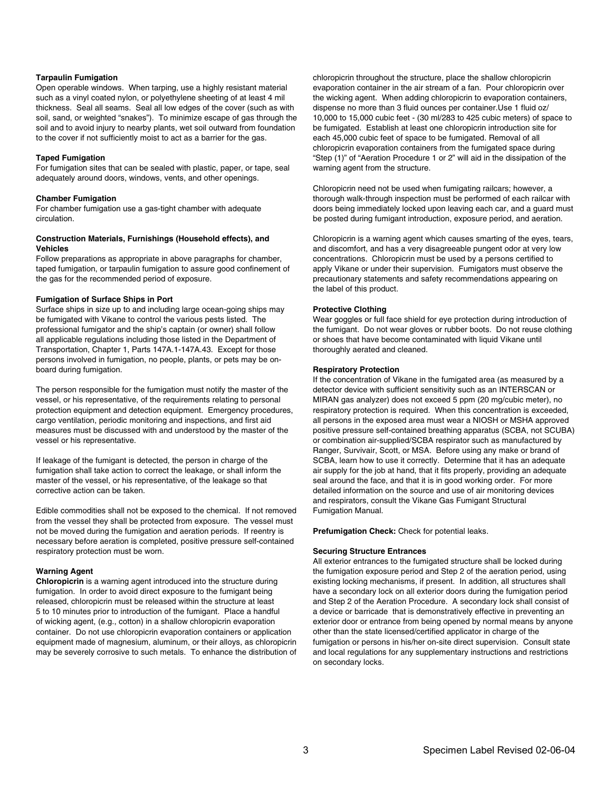#### **Tarpaulin Fumigation**

Open operable windows. When tarping, use a highly resistant material such as a vinyl coated nylon, or polyethylene sheeting of at least 4 mil thickness. Seal all seams. Seal all low edges of the cover (such as with soil, sand, or weighted "snakes"). To minimize escape of gas through the soil and to avoid injury to nearby plants, wet soil outward from foundation to the cover if not sufficiently moist to act as a barrier for the gas.

#### **Taped Fumigation**

For fumigation sites that can be sealed with plastic, paper, or tape, seal adequately around doors, windows, vents, and other openings.

#### **Chamber Fumigation**

For chamber fumigation use a gas-tight chamber with adequate circulation.

#### **Construction Materials, Furnishings (Household effects), and Vehicles**

Follow preparations as appropriate in above paragraphs for chamber, taped fumigation, or tarpaulin fumigation to assure good confinement of the gas for the recommended period of exposure.

#### **Fumigation of Surface Ships in Port**

Surface ships in size up to and including large ocean-going ships may be fumigated with Vikane to control the various pests listed. The professional fumigator and the ship's captain (or owner) shall follow all applicable regulations including those listed in the Department of Transportation, Chapter 1, Parts 147A.1-147A.43. Except for those persons involved in fumigation, no people, plants, or pets may be onboard during fumigation.

The person responsible for the fumigation must notify the master of the vessel, or his representative, of the requirements relating to personal protection equipment and detection equipment. Emergency procedures, cargo ventilation, periodic monitoring and inspections, and first aid measures must be discussed with and understood by the master of the vessel or his representative.

If leakage of the fumigant is detected, the person in charge of the fumigation shall take action to correct the leakage, or shall inform the master of the vessel, or his representative, of the leakage so that corrective action can be taken.

Edible commodities shall not be exposed to the chemical. If not removed from the vessel they shall be protected from exposure. The vessel must not be moved during the fumigation and aeration periods. If reentry is necessary before aeration is completed, positive pressure self-contained respiratory protection must be worn.

#### **Warning Agent**

**Chloropicrin** is a warning agent introduced into the structure during fumigation. In order to avoid direct exposure to the fumigant being released, chloropicrin must be released within the structure at least 5 to 10 minutes prior to introduction of the fumigant. Place a handful of wicking agent, (e.g., cotton) in a shallow chloropicrin evaporation container. Do not use chloropicrin evaporation containers or application equipment made of magnesium, aluminum, or their alloys, as chloropicrin may be severely corrosive to such metals. To enhance the distribution of chloropicrin throughout the structure, place the shallow chloropicrin evaporation container in the air stream of a fan. Pour chloropicrin over the wicking agent. When adding chloropicrin to evaporation containers, dispense no more than 3 fluid ounces per container.Use 1 fluid oz/ 10,000 to 15,000 cubic feet - (30 ml/283 to 425 cubic meters) of space to be fumigated. Establish at least one chloropicrin introduction site for each 45,000 cubic feet of space to be fumigated. Removal of all chloropicrin evaporation containers from the fumigated space during "Step (1)" of "Aeration Procedure 1 or 2" will aid in the dissipation of the warning agent from the structure.

Chloropicrin need not be used when fumigating railcars; however, a thorough walk-through inspection must be performed of each railcar with doors being immediately locked upon leaving each car, and a guard must be posted during fumigant introduction, exposure period, and aeration.

Chloropicrin is a warning agent which causes smarting of the eyes, tears, and discomfort, and has a very disagreeable pungent odor at very low concentrations. Chloropicrin must be used by a persons certified to apply Vikane or under their supervision. Fumigators must observe the precautionary statements and safety recommendations appearing on the label of this product.

#### **Protective Clothing**

Wear goggles or full face shield for eye protection during introduction of the fumigant. Do not wear gloves or rubber boots. Do not reuse clothing or shoes that have become contaminated with liquid Vikane until thoroughly aerated and cleaned.

#### **Respiratory Protection**

If the concentration of Vikane in the fumigated area (as measured by a detector device with sufficient sensitivity such as an INTERSCAN or MIRAN gas analyzer) does not exceed 5 ppm (20 mg/cubic meter), no respiratory protection is required. When this concentration is exceeded, all persons in the exposed area must wear a NIOSH or MSHA approved positive pressure self-contained breathing apparatus (SCBA, not SCUBA) or combination air-supplied/SCBA respirator such as manufactured by Ranger, Survivair, Scott, or MSA. Before using any make or brand of SCBA, learn how to use it correctly. Determine that it has an adequate air supply for the job at hand, that it fits properly, providing an adequate seal around the face, and that it is in good working order. For more detailed information on the source and use of air monitoring devices and respirators, consult the Vikane Gas Fumigant Structural Fumigation Manual.

**Prefumigation Check:** Check for potential leaks.

#### **Securing Structure Entrances**

All exterior entrances to the fumigated structure shall be locked during the fumigation exposure period and Step 2 of the aeration period, using existing locking mechanisms, if present. In addition, all structures shall have a secondary lock on all exterior doors during the fumigation period and Step 2 of the Aeration Procedure. A secondary lock shall consist of a device or barricade that is demonstratively effective in preventing an exterior door or entrance from being opened by normal means by anyone other than the state licensed/certified applicator in charge of the fumigation or persons in his/her on-site direct supervision. Consult state and local regulations for any supplementary instructions and restrictions on secondary locks.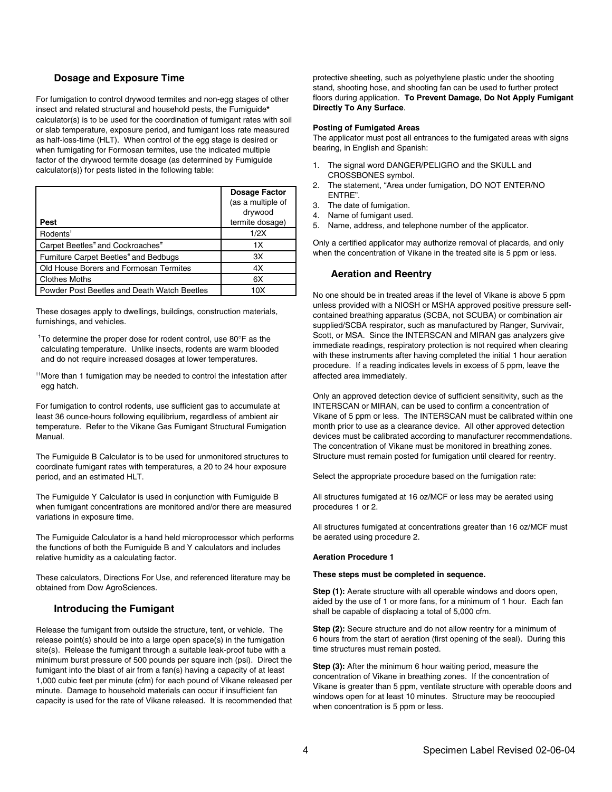#### **Dosage and Exposure Time**

For fumigation to control drywood termites and non-egg stages of other insect and related structural and household pests, the Fumiguide**\*** calculator(s) is to be used for the coordination of fumigant rates with soil or slab temperature, exposure period, and fumigant loss rate measured as half-loss-time (HLT). When control of the egg stage is desired or when fumigating for Formosan termites, use the indicated multiple factor of the drywood termite dosage (as determined by Fumiguide calculator(s)) for pests listed in the following table:

|                                                          | <b>Dosage Factor</b> |
|----------------------------------------------------------|----------------------|
|                                                          | (as a multiple of    |
|                                                          | drywood              |
| Pest                                                     | termite dosage)      |
| Rodents <sup>+</sup>                                     | 1/2X                 |
| Carpet Beetles <sup>*</sup> and Cockroaches <sup>*</sup> | 1X                   |
| Furniture Carpet Beetles <sup>*</sup> and Bedbugs        | 3X                   |
| <b>Old House Borers and Formosan Termites</b>            | 4X                   |
| <b>Clothes Moths</b>                                     | 6X                   |
| Powder Post Beetles and Death Watch Beetles              | 10X                  |

These dosages apply to dwellings, buildings, construction materials, furnishings, and vehicles.

 $+$ To determine the proper dose for rodent control, use 80 $\degree$ F as the calculating temperature. Unlike insects, rodents are warm blooded and do not require increased dosages at lower temperatures.

†† More than 1 fumigation may be needed to control the infestation after egg hatch.

For fumigation to control rodents, use sufficient gas to accumulate at least 36 ounce-hours following equilibrium, regardless of ambient air temperature. Refer to the Vikane Gas Fumigant Structural Fumigation Manual.

The Fumiguide B Calculator is to be used for unmonitored structures to coordinate fumigant rates with temperatures, a 20 to 24 hour exposure period, and an estimated HLT.

The Fumiguide Y Calculator is used in conjunction with Fumiguide B when fumigant concentrations are monitored and/or there are measured variations in exposure time.

The Fumiguide Calculator is a hand held microprocessor which performs the functions of both the Fumiguide B and Y calculators and includes relative humidity as a calculating factor.

These calculators, Directions For Use, and referenced literature may be obtained from Dow AgroSciences.

#### **Introducing the Fumigant**

Release the fumigant from outside the structure, tent, or vehicle. The release point(s) should be into a large open space(s) in the fumigation site(s). Release the fumigant through a suitable leak-proof tube with a minimum burst pressure of 500 pounds per square inch (psi). Direct the fumigant into the blast of air from a fan(s) having a capacity of at least 1,000 cubic feet per minute (cfm) for each pound of Vikane released per minute. Damage to household materials can occur if insufficient fan capacity is used for the rate of Vikane released. It is recommended that protective sheeting, such as polyethylene plastic under the shooting stand, shooting hose, and shooting fan can be used to further protect floors during application. **To Prevent Damage, Do Not Apply Fumigant Directly To Any Surface**.

#### **Posting of Fumigated Areas**

The applicator must post all entrances to the fumigated areas with signs bearing, in English and Spanish:

- 1. The signal word DANGER/PELIGRO and the SKULL and CROSSBONES symbol.
- 2. The statement, "Area under fumigation, DO NOT ENTER/NO ENTRE".
- 3. The date of fumigation.
- 4. Name of fumigant used.
- 5. Name, address, and telephone number of the applicator.

Only a certified applicator may authorize removal of placards, and only when the concentration of Vikane in the treated site is 5 ppm or less.

#### **Aeration and Reentry**

No one should be in treated areas if the level of Vikane is above 5 ppm unless provided with a NIOSH or MSHA approved positive pressure selfcontained breathing apparatus (SCBA, not SCUBA) or combination air supplied/SCBA respirator, such as manufactured by Ranger, Survivair, Scott, or MSA. Since the INTERSCAN and MIRAN gas analyzers give immediate readings, respiratory protection is not required when clearing with these instruments after having completed the initial 1 hour aeration procedure. If a reading indicates levels in excess of 5 ppm, leave the affected area immediately.

Only an approved detection device of sufficient sensitivity, such as the INTERSCAN or MIRAN, can be used to confirm a concentration of Vikane of 5 ppm or less. The INTERSCAN must be calibrated within one month prior to use as a clearance device. All other approved detection devices must be calibrated according to manufacturer recommendations. The concentration of Vikane must be monitored in breathing zones. Structure must remain posted for fumigation until cleared for reentry.

Select the appropriate procedure based on the fumigation rate:

All structures fumigated at 16 oz/MCF or less may be aerated using procedures 1 or 2.

All structures fumigated at concentrations greater than 16 oz/MCF must be aerated using procedure 2.

#### **Aeration Procedure 1**

#### **These steps must be completed in sequence.**

**Step (1):** Aerate structure with all operable windows and doors open, aided by the use of 1 or more fans, for a minimum of 1 hour. Each fan shall be capable of displacing a total of 5,000 cfm.

**Step (2):** Secure structure and do not allow reentry for a minimum of 6 hours from the start of aeration (first opening of the seal). During this time structures must remain posted.

**Step (3):** After the minimum 6 hour waiting period, measure the concentration of Vikane in breathing zones. If the concentration of Vikane is greater than 5 ppm, ventilate structure with operable doors and windows open for at least 10 minutes. Structure may be reoccupied when concentration is 5 ppm or less.